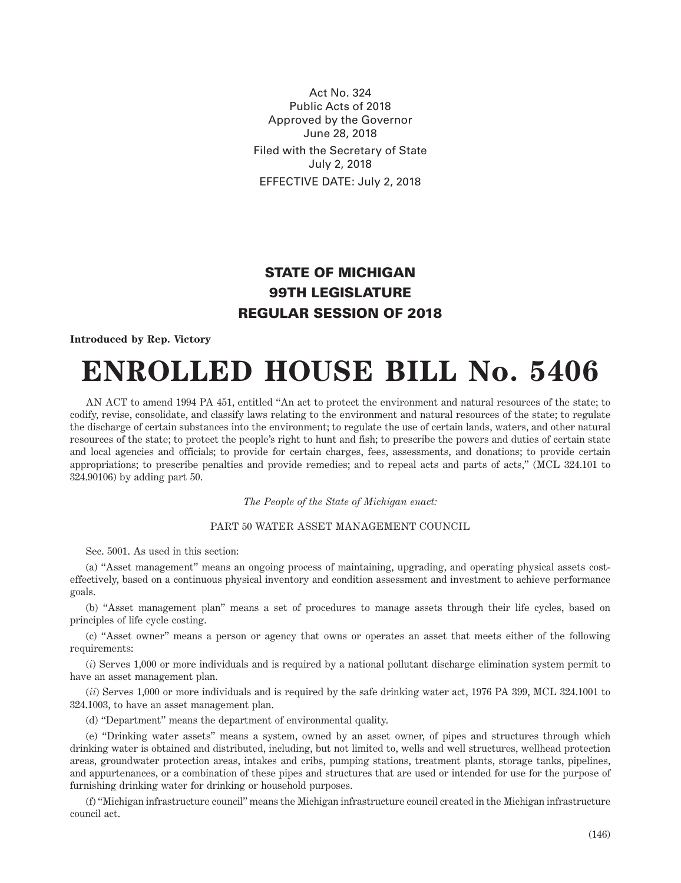Act No. 324 Public Acts of 2018 Approved by the Governor June 28, 2018 Filed with the Secretary of State July 2, 2018 EFFECTIVE DATE: July 2, 2018

## STATE OF MICHIGAN 99TH LEGISLATURE REGULAR SESSION OF 2018

## **Introduced by Rep. Victory**

## **ENROLLED HOUSE BILL No. 5406**

AN ACT to amend 1994 PA 451, entitled "An act to protect the environment and natural resources of the state; to codify, revise, consolidate, and classify laws relating to the environment and natural resources of the state; to regulate the discharge of certain substances into the environment; to regulate the use of certain lands, waters, and other natural resources of the state; to protect the people's right to hunt and fish; to prescribe the powers and duties of certain state and local agencies and officials; to provide for certain charges, fees, assessments, and donations; to provide certain appropriations; to prescribe penalties and provide remedies; and to repeal acts and parts of acts," (MCL 324.101 to 324.90106) by adding part 50.

*The People of the State of Michigan enact:*

## PART 50 WATER ASSET MANAGEMENT COUNCIL

Sec. 5001. As used in this section:

(a) "Asset management" means an ongoing process of maintaining, upgrading, and operating physical assets costeffectively, based on a continuous physical inventory and condition assessment and investment to achieve performance goals.

(b) "Asset management plan" means a set of procedures to manage assets through their life cycles, based on principles of life cycle costing.

(c) "Asset owner" means a person or agency that owns or operates an asset that meets either of the following requirements:

(*i*) Serves 1,000 or more individuals and is required by a national pollutant discharge elimination system permit to have an asset management plan.

(*ii*) Serves 1,000 or more individuals and is required by the safe drinking water act, 1976 PA 399, MCL 324.1001 to 324.1003, to have an asset management plan.

(d) "Department" means the department of environmental quality.

(e) "Drinking water assets" means a system, owned by an asset owner, of pipes and structures through which drinking water is obtained and distributed, including, but not limited to, wells and well structures, wellhead protection areas, groundwater protection areas, intakes and cribs, pumping stations, treatment plants, storage tanks, pipelines, and appurtenances, or a combination of these pipes and structures that are used or intended for use for the purpose of furnishing drinking water for drinking or household purposes.

(f) "Michigan infrastructure council" means the Michigan infrastructure council created in the Michigan infrastructure council act.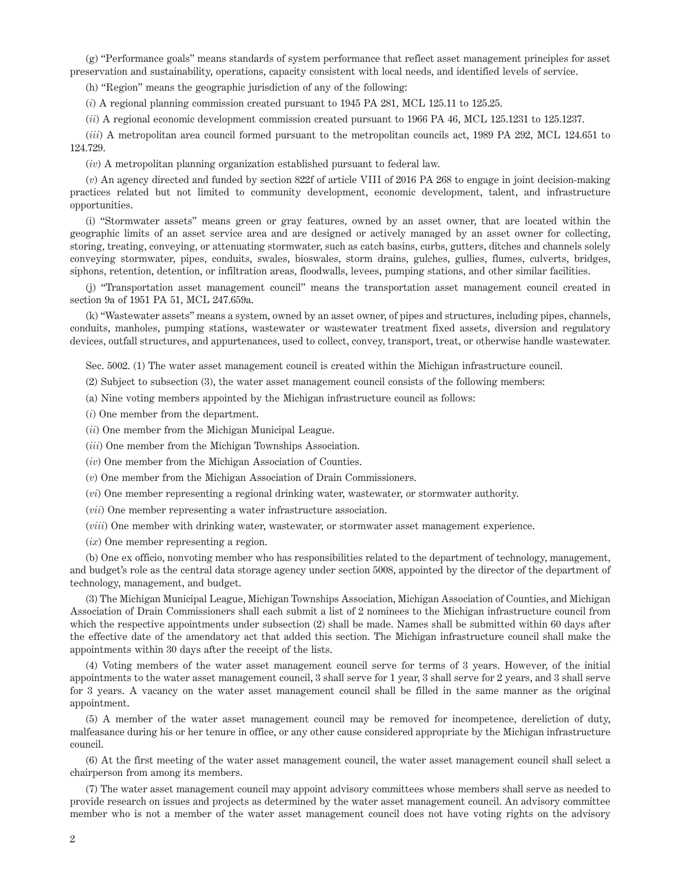(g) "Performance goals" means standards of system performance that reflect asset management principles for asset preservation and sustainability, operations, capacity consistent with local needs, and identified levels of service.

(h) "Region" means the geographic jurisdiction of any of the following:

(*i*) A regional planning commission created pursuant to 1945 PA 281, MCL 125.11 to 125.25.

(*ii*) A regional economic development commission created pursuant to 1966 PA 46, MCL 125.1231 to 125.1237.

(*iii*) A metropolitan area council formed pursuant to the metropolitan councils act, 1989 PA 292, MCL 124.651 to 124.729.

(*iv*) A metropolitan planning organization established pursuant to federal law.

(*v*) An agency directed and funded by section 822f of article VIII of 2016 PA 268 to engage in joint decision-making practices related but not limited to community development, economic development, talent, and infrastructure opportunities.

(i) "Stormwater assets" means green or gray features, owned by an asset owner, that are located within the geographic limits of an asset service area and are designed or actively managed by an asset owner for collecting, storing, treating, conveying, or attenuating stormwater, such as catch basins, curbs, gutters, ditches and channels solely conveying stormwater, pipes, conduits, swales, bioswales, storm drains, gulches, gullies, flumes, culverts, bridges, siphons, retention, detention, or infiltration areas, floodwalls, levees, pumping stations, and other similar facilities.

(j) "Transportation asset management council" means the transportation asset management council created in section 9a of 1951 PA 51, MCL 247.659a.

(k) "Wastewater assets" means a system, owned by an asset owner, of pipes and structures, including pipes, channels, conduits, manholes, pumping stations, wastewater or wastewater treatment fixed assets, diversion and regulatory devices, outfall structures, and appurtenances, used to collect, convey, transport, treat, or otherwise handle wastewater.

Sec. 5002. (1) The water asset management council is created within the Michigan infrastructure council.

(2) Subject to subsection (3), the water asset management council consists of the following members:

(a) Nine voting members appointed by the Michigan infrastructure council as follows:

(*i*) One member from the department.

(*ii*) One member from the Michigan Municipal League.

(*iii*) One member from the Michigan Townships Association.

(*iv*) One member from the Michigan Association of Counties.

(*v*) One member from the Michigan Association of Drain Commissioners.

(*vi*) One member representing a regional drinking water, wastewater, or stormwater authority.

(*vii*) One member representing a water infrastructure association.

(*viii*) One member with drinking water, wastewater, or stormwater asset management experience.

(*ix*) One member representing a region.

(b) One ex officio, nonvoting member who has responsibilities related to the department of technology, management, and budget's role as the central data storage agency under section 5008, appointed by the director of the department of technology, management, and budget.

(3) The Michigan Municipal League, Michigan Townships Association, Michigan Association of Counties, and Michigan Association of Drain Commissioners shall each submit a list of 2 nominees to the Michigan infrastructure council from which the respective appointments under subsection (2) shall be made. Names shall be submitted within 60 days after the effective date of the amendatory act that added this section. The Michigan infrastructure council shall make the appointments within 30 days after the receipt of the lists.

(4) Voting members of the water asset management council serve for terms of 3 years. However, of the initial appointments to the water asset management council, 3 shall serve for 1 year, 3 shall serve for 2 years, and 3 shall serve for 3 years. A vacancy on the water asset management council shall be filled in the same manner as the original appointment.

(5) A member of the water asset management council may be removed for incompetence, dereliction of duty, malfeasance during his or her tenure in office, or any other cause considered appropriate by the Michigan infrastructure council.

(6) At the first meeting of the water asset management council, the water asset management council shall select a chairperson from among its members.

(7) The water asset management council may appoint advisory committees whose members shall serve as needed to provide research on issues and projects as determined by the water asset management council. An advisory committee member who is not a member of the water asset management council does not have voting rights on the advisory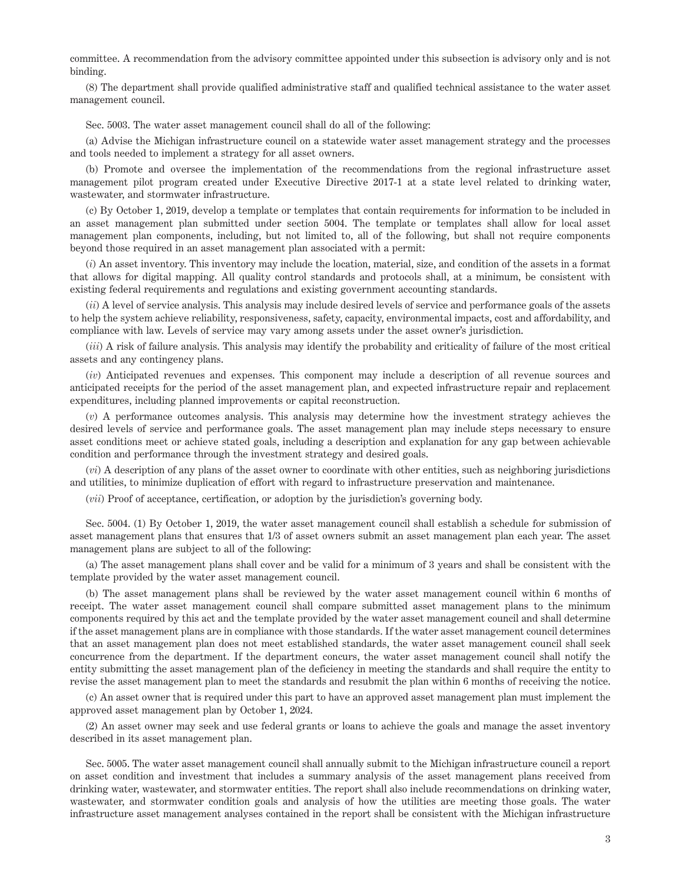committee. A recommendation from the advisory committee appointed under this subsection is advisory only and is not binding.

(8) The department shall provide qualified administrative staff and qualified technical assistance to the water asset management council.

Sec. 5003. The water asset management council shall do all of the following:

(a) Advise the Michigan infrastructure council on a statewide water asset management strategy and the processes and tools needed to implement a strategy for all asset owners.

(b) Promote and oversee the implementation of the recommendations from the regional infrastructure asset management pilot program created under Executive Directive 2017-1 at a state level related to drinking water, wastewater, and stormwater infrastructure.

(c) By October 1, 2019, develop a template or templates that contain requirements for information to be included in an asset management plan submitted under section 5004. The template or templates shall allow for local asset management plan components, including, but not limited to, all of the following, but shall not require components beyond those required in an asset management plan associated with a permit:

(*i*) An asset inventory. This inventory may include the location, material, size, and condition of the assets in a format that allows for digital mapping. All quality control standards and protocols shall, at a minimum, be consistent with existing federal requirements and regulations and existing government accounting standards.

(*ii*) A level of service analysis. This analysis may include desired levels of service and performance goals of the assets to help the system achieve reliability, responsiveness, safety, capacity, environmental impacts, cost and affordability, and compliance with law. Levels of service may vary among assets under the asset owner's jurisdiction.

(*iii*) A risk of failure analysis. This analysis may identify the probability and criticality of failure of the most critical assets and any contingency plans.

(*iv*) Anticipated revenues and expenses. This component may include a description of all revenue sources and anticipated receipts for the period of the asset management plan, and expected infrastructure repair and replacement expenditures, including planned improvements or capital reconstruction.

(*v*) A performance outcomes analysis. This analysis may determine how the investment strategy achieves the desired levels of service and performance goals. The asset management plan may include steps necessary to ensure asset conditions meet or achieve stated goals, including a description and explanation for any gap between achievable condition and performance through the investment strategy and desired goals.

(*vi*) A description of any plans of the asset owner to coordinate with other entities, such as neighboring jurisdictions and utilities, to minimize duplication of effort with regard to infrastructure preservation and maintenance.

(*vii*) Proof of acceptance, certification, or adoption by the jurisdiction's governing body.

Sec. 5004. (1) By October 1, 2019, the water asset management council shall establish a schedule for submission of asset management plans that ensures that 1/3 of asset owners submit an asset management plan each year. The asset management plans are subject to all of the following:

(a) The asset management plans shall cover and be valid for a minimum of 3 years and shall be consistent with the template provided by the water asset management council.

(b) The asset management plans shall be reviewed by the water asset management council within 6 months of receipt. The water asset management council shall compare submitted asset management plans to the minimum components required by this act and the template provided by the water asset management council and shall determine if the asset management plans are in compliance with those standards. If the water asset management council determines that an asset management plan does not meet established standards, the water asset management council shall seek concurrence from the department. If the department concurs, the water asset management council shall notify the entity submitting the asset management plan of the deficiency in meeting the standards and shall require the entity to revise the asset management plan to meet the standards and resubmit the plan within 6 months of receiving the notice.

(c) An asset owner that is required under this part to have an approved asset management plan must implement the approved asset management plan by October 1, 2024.

(2) An asset owner may seek and use federal grants or loans to achieve the goals and manage the asset inventory described in its asset management plan.

Sec. 5005. The water asset management council shall annually submit to the Michigan infrastructure council a report on asset condition and investment that includes a summary analysis of the asset management plans received from drinking water, wastewater, and stormwater entities. The report shall also include recommendations on drinking water, wastewater, and stormwater condition goals and analysis of how the utilities are meeting those goals. The water infrastructure asset management analyses contained in the report shall be consistent with the Michigan infrastructure